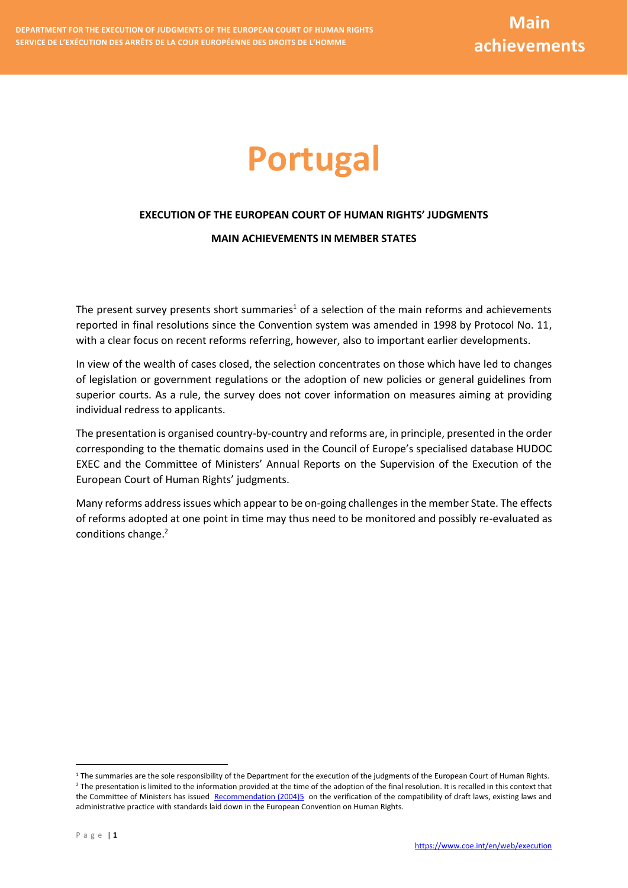# **Portugal**

# **EXECUTION OF THE EUROPEAN COURT OF HUMAN RIGHTS' JUDGMENTS**

#### **MAIN ACHIEVEMENTS IN MEMBER STATES**

The present survey presents short summaries<sup>1</sup> of a selection of the main reforms and achievements reported in final resolutions since the Convention system was amended in 1998 by Protocol No. 11, with a clear focus on recent reforms referring, however, also to important earlier developments.

In view of the wealth of cases closed, the selection concentrates on those which have led to changes of legislation or government regulations or the adoption of new policies or general guidelines from superior courts. As a rule, the survey does not cover information on measures aiming at providing individual redress to applicants.

The presentation is organised country-by-country and reforms are, in principle, presented in the order corresponding to the thematic domains used in the Council of Europe's specialised database HUDOC EXEC and the Committee of Ministers' Annual Reports on the Supervision of the Execution of the European Court of Human Rights' judgments.

Many reforms address issues which appear to be on-going challenges in the member State. The effects of reforms adopted at one point in time may thus need to be monitored and possibly re-evaluated as conditions change. 2

<u>.</u>

 $1$  The summaries are the sole responsibility of the Department for the execution of the judgments of the European Court of Human Rights. <sup>2</sup> The presentation is limited to the information provided at the time of the adoption of the final resolution. It is recalled in this context that the Committee of Ministers has issued [Recommendation \(2004\)5](https://search.coe.int/cm/Pages/result_details.aspx?ObjectID=09000016805dd194) on the verification of the compatibility of draft laws, existing laws and administrative practice with standards laid down in the European Convention on Human Rights.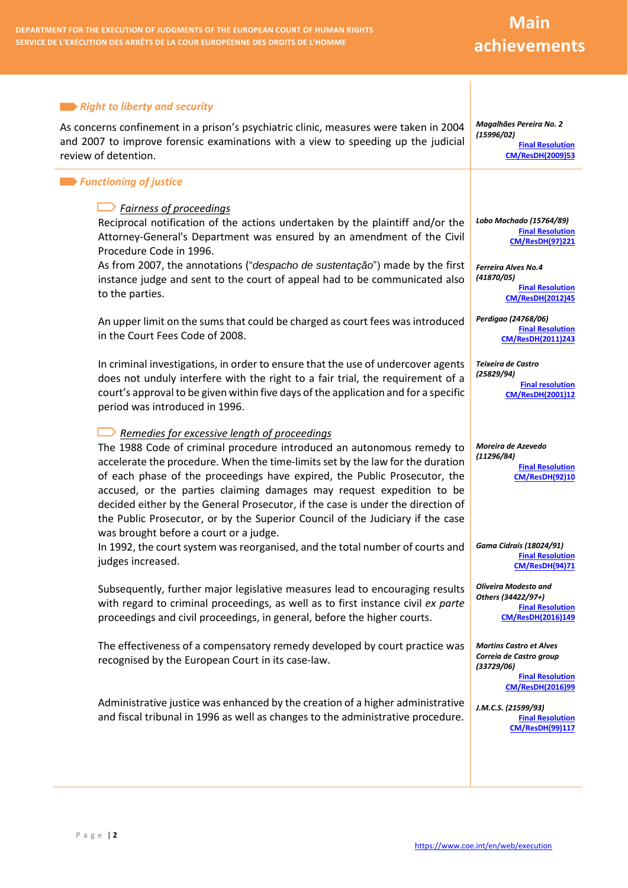# **Main achievements**

#### **Right to liberty and security**

As concerns confinement in a prison's psychiatric clinic, measures were taken in 2004 and 2007 to improve forensic examinations with a view to speeding up the judicial review of detention.

#### *Functioning of justice*

# *Fairness of proceedings*

Reciprocal notification of the actions undertaken by the plaintiff and/or the Attorney-General's Department was ensured by an amendment of the Civil Procedure Code in 1996.

As from 2007, the annotations ("*despacho de sustentação*") made by the first instance judge and sent to the court of appeal had to be communicated also to the parties.

An upper limit on the sums that could be charged as court fees was introduced in the Court Fees Code of 2008.

In criminal investigations, in order to ensure that the use of undercover agents does not unduly interfere with the right to a fair trial, the requirement of a court's approval to be given within five days of the application and for a specific period was introduced in 1996.

# *Remedies for excessive length of proceedings*

The 1988 Code of criminal procedure introduced an autonomous remedy to accelerate the procedure. When the time-limits set by the law for the duration of each phase of the proceedings have expired, the Public Prosecutor, the accused, or the parties claiming damages may request expedition to be decided either by the General Prosecutor, if the case is under the direction of the Public Prosecutor, or by the Superior Council of the Judiciary if the case was brought before a court or a judge.

In 1992, the court system was reorganised, and the total number of courts and judges increased.

Subsequently, further major legislative measures lead to encouraging results with regard to criminal proceedings, as well as to first instance civil *ex parte* proceedings and civil proceedings, in general, before the higher courts.

The effectiveness of a compensatory remedy developed by court practice was recognised by the European Court in its case-law.

Administrative justice was enhanced by the creation of a higher administrative and fiscal tribunal in 1996 as well as changes to the administrative procedure.

*Magalhães Pereira No. 2 (15996/02)* **[Final Resolution](http://hudoc.exec.coe.int/eng?i=001-92278)  [CM/ResDH\(2009\)53](http://hudoc.exec.coe.int/eng?i=001-92278)**

*Lobo Machado (15764/89)* **[Final Resolution](http://hudoc.echr.coe.int/eng?i=001-55739)  [CM/ResDH\(97\)221](http://hudoc.echr.coe.int/eng?i=001-55739)**

*Ferreira Alves No.4 (41870/05)* **[Final Resolution](http://hudoc.echr.coe.int/eng?i=001-109720)  [CM/ResDH\(2012\)45](http://hudoc.echr.coe.int/eng?i=001-109720)**

*Perdigao (24768/06)* **[Final Resolution](http://hudoc.exec.coe.int/eng?i=001-108152)  [CM/ResDH\(2011\)243](http://hudoc.exec.coe.int/eng?i=001-108152)**

*Teixeira de Castro (25829/94)* **[Final resolution](http://hudoc.echr.coe.int/eng?i=001-55923)  [CM/ResDH\(2001\)12](http://hudoc.echr.coe.int/eng?i=001-55923)**

*Moreira de Azevedo (11296/84)* **[Final Resolution](http://hudoc.echr.coe.int/eng?i=001-55523)  [CM/ResDH\(92\)10](http://hudoc.echr.coe.int/eng?i=001-55523)**

*Gama Cidrais (18024/91)* **[Final Resolution](http://hudoc.echr.coe.int/eng?i=001-49406)  [CM/ResDH\(94\)71](http://hudoc.echr.coe.int/eng?i=001-49406)**

*Oliveira Modesto and Others (34422/97+)* **[Final Resolution](http://hudoc.echr.coe.int/eng?i=001-164148)  [CM/ResDH\(2016\)149](http://hudoc.echr.coe.int/eng?i=001-164148)**

*Martins Castro et Alves Correia de Castro group (33729/06)*

**[Final Resolution](http://hudoc.echr.coe.int/eng?i=001-163123)  [CM/ResDH\(2016\)99](http://hudoc.echr.coe.int/eng?i=001-163123)**

*J.M.C.S. (21599/93)* **[Final Resolution](http://hudoc.echr.coe.int/eng?i=001-50007)  [CM/ResDH\(99\)117](http://hudoc.echr.coe.int/eng?i=001-50007)**